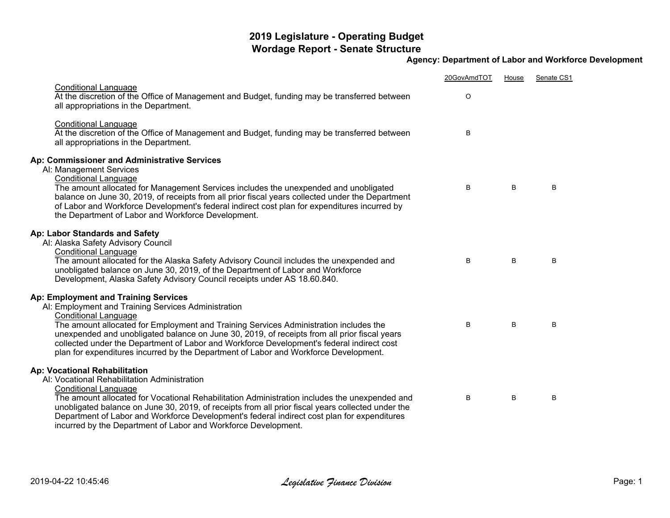## **2019 Legislature - Operating Budget Wordage Report - Senate Structure**

## **Agency: Department of Labor and Workforce Development**

|                                                                                                                                                                                                                                                                                                                                                                                                                                                                                                          | 20GovAmdTOT | House | Senate CS1 |
|----------------------------------------------------------------------------------------------------------------------------------------------------------------------------------------------------------------------------------------------------------------------------------------------------------------------------------------------------------------------------------------------------------------------------------------------------------------------------------------------------------|-------------|-------|------------|
| <b>Conditional Language</b><br>At the discretion of the Office of Management and Budget, funding may be transferred between<br>all appropriations in the Department.                                                                                                                                                                                                                                                                                                                                     | O           |       |            |
| <b>Conditional Language</b><br>At the discretion of the Office of Management and Budget, funding may be transferred between<br>all appropriations in the Department.                                                                                                                                                                                                                                                                                                                                     | B           |       |            |
| Ap: Commissioner and Administrative Services<br>Al: Management Services<br><b>Conditional Language</b><br>The amount allocated for Management Services includes the unexpended and unobligated<br>balance on June 30, 2019, of receipts from all prior fiscal years collected under the Department<br>of Labor and Workforce Development's federal indirect cost plan for expenditures incurred by<br>the Department of Labor and Workforce Development.                                                 | B           | B     | B          |
| Ap: Labor Standards and Safety<br>Al: Alaska Safety Advisory Council<br><b>Conditional Language</b><br>The amount allocated for the Alaska Safety Advisory Council includes the unexpended and<br>unobligated balance on June 30, 2019, of the Department of Labor and Workforce<br>Development, Alaska Safety Advisory Council receipts under AS 18.60.840.                                                                                                                                             | B           | B     | B          |
| Ap: Employment and Training Services<br>Al: Employment and Training Services Administration<br><b>Conditional Language</b><br>The amount allocated for Employment and Training Services Administration includes the<br>unexpended and unobligated balance on June 30, 2019, of receipts from all prior fiscal years<br>collected under the Department of Labor and Workforce Development's federal indirect cost<br>plan for expenditures incurred by the Department of Labor and Workforce Development. | B           | B     | B          |
| <b>Ap: Vocational Rehabilitation</b><br>AI: Vocational Rehabilitation Administration<br><b>Conditional Language</b><br>The amount allocated for Vocational Rehabilitation Administration includes the unexpended and<br>unobligated balance on June 30, 2019, of receipts from all prior fiscal years collected under the<br>Department of Labor and Workforce Development's federal indirect cost plan for expenditures<br>incurred by the Department of Labor and Workforce Development.               | B           | B     | B          |